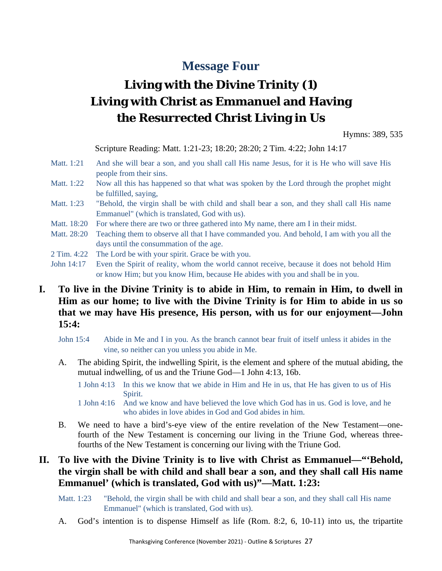## **Message Four**

## **Living with the Divine Trinity (1) Living with Christ as Emmanuel and Having the Resurrected Christ Living in Us**

Hymns: 389, 535

Scripture Reading: Matt. 1:21-23; 18:20; 28:20; 2 Tim. 4:22; John 14:17

- Matt. 1:21 And she will bear a son, and you shall call His name Jesus, for it is He who will save His people from their sins.
- Matt. 1:22 Now all this has happened so that what was spoken by the Lord through the prophet might be fulfilled, saying,
- Matt. 1:23 "Behold, the virgin shall be with child and shall bear a son, and they shall call His name Emmanuel" (which is translated, God with us).
- Matt. 18:20 For where there are two or three gathered into My name, there am I in their midst.
- Matt. 28:20 Teaching them to observe all that I have commanded you. And behold, I am with you all the days until the consummation of the age.
- 2 Tim. 4:22 The Lord be with your spirit. Grace be with you.
- John 14:17 Even the Spirit of reality, whom the world cannot receive, because it does not behold Him or know Him; but you know Him, because He abides with you and shall be in you.
- **I. To live in the Divine Trinity is to abide in Him, to remain in Him, to dwell in Him as our home; to live with the Divine Trinity is for Him to abide in us so that we may have His presence, His person, with us for our enjoyment—John 15:4:**

John 15:4 Abide in Me and I in you. As the branch cannot bear fruit of itself unless it abides in the vine, so neither can you unless you abide in Me.

- A. The abiding Spirit, the indwelling Spirit, is the element and sphere of the mutual abiding, the mutual indwelling, of us and the Triune God—1 John 4:13, 16b.
	- 1 John 4:13 In this we know that we abide in Him and He in us, that He has given to us of His Spirit.
	- 1 John 4:16 And we know and have believed the love which God has in us. God is love, and he who abides in love abides in God and God abides in him.
- B. We need to have a bird's-eye view of the entire revelation of the New Testament—onefourth of the New Testament is concerning our living in the Triune God, whereas threefourths of the New Testament is concerning our living with the Triune God.

## **II. To live with the Divine Trinity is to live with Christ as Emmanuel—"'Behold, the virgin shall be with child and shall bear a son, and they shall call His name Emmanuel' (which is translated, God with us)"—Matt. 1:23:**

Matt. 1:23 "Behold, the virgin shall be with child and shall bear a son, and they shall call His name Emmanuel" (which is translated, God with us).

A. God's intention is to dispense Himself as life (Rom. 8:2, 6, 10-11) into us, the tripartite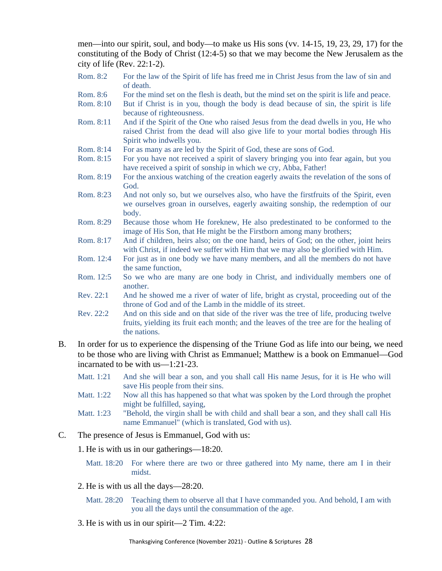men—into our spirit, soul, and body—to make us His sons (vv. 14-15, 19, 23, 29, 17) for the constituting of the Body of Christ (12:4-5) so that we may become the New Jerusalem as the city of life (Rev. 22:1-2).

- Rom. 8:2 For the law of the Spirit of life has freed me in Christ Jesus from the law of sin and of death.
- Rom. 8:6 For the mind set on the flesh is death, but the mind set on the spirit is life and peace.
- Rom. 8:10 But if Christ is in you, though the body is dead because of sin, the spirit is life because of righteousness.
- Rom. 8:11 And if the Spirit of the One who raised Jesus from the dead dwells in you, He who raised Christ from the dead will also give life to your mortal bodies through His Spirit who indwells you.
- Rom. 8:14 For as many as are led by the Spirit of God, these are sons of God.
- Rom. 8:15 For you have not received a spirit of slavery bringing you into fear again, but you have received a spirit of sonship in which we cry, Abba, Father!
- Rom. 8:19 For the anxious watching of the creation eagerly awaits the revelation of the sons of God.
- Rom. 8:23 And not only so, but we ourselves also, who have the first fruits of the Spirit, even we ourselves groan in ourselves, eagerly awaiting sonship, the redemption of our body.
- Rom. 8:29 Because those whom He foreknew, He also predestinated to be conformed to the image of His Son, that He might be the Firstborn among many brothers;
- Rom. 8:17 And if children, heirs also; on the one hand, heirs of God; on the other, joint heirs with Christ, if indeed we suffer with Him that we may also be glorified with Him.
- Rom. 12:4 For just as in one body we have many members, and all the members do not have the same function,
- Rom. 12:5 So we who are many are one body in Christ, and individually members one of another.
- Rev. 22:1 And he showed me a river of water of life, bright as crystal, proceeding out of the throne of God and of the Lamb in the middle of its street.
- Rev. 22:2 And on this side and on that side of the river was the tree of life, producing twelve fruits, yielding its fruit each month; and the leaves of the tree are for the healing of the nations.
- B. In order for us to experience the dispensing of the Triune God as life into our being, we need to be those who are living with Christ as Emmanuel; Matthew is a book on Emmanuel—God incarnated to be with us—1:21-23.
	- Matt. 1:21 And she will bear a son, and you shall call His name Jesus, for it is He who will save His people from their sins.
	- Matt. 1:22 Now all this has happened so that what was spoken by the Lord through the prophet might be fulfilled, saying,
	- Matt. 1:23 "Behold, the virgin shall be with child and shall bear a son, and they shall call His name Emmanuel" (which is translated, God with us).
- C. The presence of Jesus is Emmanuel, God with us:
	- 1. He is with us in our gatherings—18:20.
		- Matt. 18:20 For where there are two or three gathered into My name, there am I in their midst.
	- 2. He is with us all the days—28:20.
		- Matt. 28:20 Teaching them to observe all that I have commanded you. And behold, I am with you all the days until the consummation of the age.
	- 3. He is with us in our spirit—2 Tim. 4:22: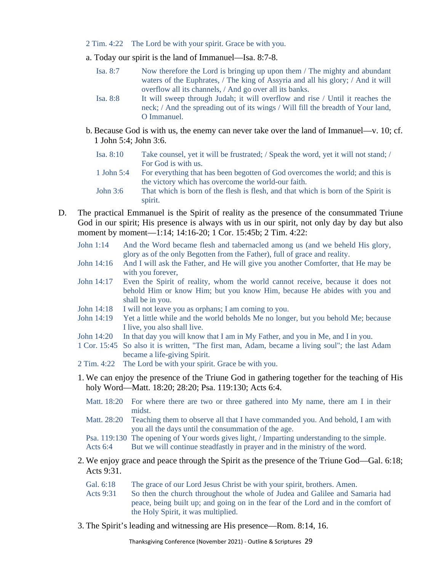- 2 Tim. 4:22 The Lord be with your spirit. Grace be with you.
- a. Today our spirit is the land of Immanuel—Isa. 8:7-8.
	- Isa. 8:7 Now therefore the Lord is bringing up upon them / The mighty and abundant waters of the Euphrates, / The king of Assyria and all his glory; / And it will overflow all its channels, / And go over all its banks.
	- Isa. 8:8 It will sweep through Judah; it will overflow and rise / Until it reaches the neck; / And the spreading out of its wings / Will fill the breadth of Your land, O Immanuel.
- b. Because God is with us, the enemy can never take over the land of Immanuel—v. 10; cf. 1 John 5:4; John 3:6.

| Isa. 8:10  | Take counsel, yet it will be frustrated; / Speak the word, yet it will not stand; / |
|------------|-------------------------------------------------------------------------------------|
|            | For God is with us.                                                                 |
| 1 John 5:4 | For everything that has been begotten of God overcomes the world; and this is       |

- the victory which has overcome the world-our faith. John 3:6 That which is born of the flesh is flesh, and that which is born of the Spirit is spirit.
- D. The practical Emmanuel is the Spirit of reality as the presence of the consummated Triune God in our spirit; His presence is always with us in our spirit, not only day by day but also moment by moment—1:14; 14:16-20; 1 Cor. 15:45b; 2 Tim. 4:22:
	- John 1:14 And the Word became flesh and tabernacled among us (and we beheld His glory, glory as of the only Begotten from the Father), full of grace and reality.
	- John 14:16 And I will ask the Father, and He will give you another Comforter, that He may be with you forever,
	- John 14:17 Even the Spirit of reality, whom the world cannot receive, because it does not behold Him or know Him; but you know Him, because He abides with you and shall be in you.
	- John 14:18 I will not leave you as orphans; I am coming to you.
	- John 14:19 Yet a little while and the world beholds Me no longer, but you behold Me; because I live, you also shall live.
	- John 14:20 In that day you will know that I am in My Father, and you in Me, and I in you.
	- 1 Cor. 15:45 So also it is written, "The first man, Adam, became a living soul"; the last Adam became a life-giving Spirit.
	- 2 Tim. 4:22 The Lord be with your spirit. Grace be with you.
	- 1. We can enjoy the presence of the Triune God in gathering together for the teaching of His holy Word—Matt. 18:20; 28:20; Psa. 119:130; Acts 6:4.
		- Matt. 18:20 For where there are two or three gathered into My name, there am I in their midst.
		- Matt. 28:20 Teaching them to observe all that I have commanded you. And behold, I am with you all the days until the consummation of the age.
		- Psa. 119:130 The opening of Your words gives light, / Imparting understanding to the simple.
	- Acts 6:4 But we will continue steadfastly in prayer and in the ministry of the word.
	- 2. We enjoy grace and peace through the Spirit as the presence of the Triune God—Gal. 6:18; Acts 9:31.
		- Gal. 6:18 The grace of our Lord Jesus Christ be with your spirit, brothers. Amen.
		- Acts 9:31 So then the church throughout the whole of Judea and Galilee and Samaria had peace, being built up; and going on in the fear of the Lord and in the comfort of the Holy Spirit, it was multiplied.
	- 3. The Spirit's leading and witnessing are His presence—Rom. 8:14, 16.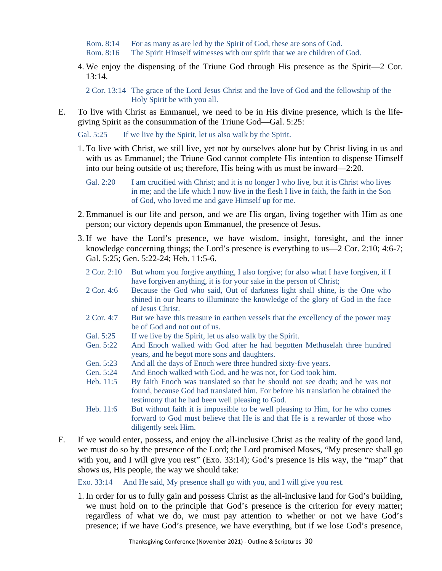Rom. 8:14 For as many as are led by the Spirit of God, these are sons of God.

- Rom. 8:16 The Spirit Himself witnesses with our spirit that we are children of God.
- 4. We enjoy the dispensing of the Triune God through His presence as the Spirit—2 Cor. 13:14.

2 Cor. 13:14 The grace of the Lord Jesus Christ and the love of God and the fellowship of the Holy Spirit be with you all.

E. To live with Christ as Emmanuel, we need to be in His divine presence, which is the lifegiving Spirit as the consummation of the Triune God—Gal. 5:25:

Gal. 5:25 If we live by the Spirit, let us also walk by the Spirit.

- 1. To live with Christ, we still live, yet not by ourselves alone but by Christ living in us and with us as Emmanuel; the Triune God cannot complete His intention to dispense Himself into our being outside of us; therefore, His being with us must be inward—2:20.
	- Gal. 2:20 I am crucified with Christ; and it is no longer I who live, but it is Christ who lives in me; and the life which I now live in the flesh I live in faith, the faith in the Son of God, who loved me and gave Himself up for me.
- 2. Emmanuel is our life and person, and we are His organ, living together with Him as one person; our victory depends upon Emmanuel, the presence of Jesus.
- 3. If we have the Lord's presence, we have wisdom, insight, foresight, and the inner knowledge concerning things; the Lord's presence is everything to us—2 Cor. 2:10; 4:6-7; Gal. 5:25; Gen. 5:22-24; Heb. 11:5-6.
	- 2 Cor. 2:10 But whom you forgive anything, I also forgive; for also what I have forgiven, if I have forgiven anything, it is for your sake in the person of Christ;
	- 2 Cor. 4:6 Because the God who said, Out of darkness light shall shine, is the One who shined in our hearts to illuminate the knowledge of the glory of God in the face of Jesus Christ.
	- 2 Cor. 4:7 But we have this treasure in earthen vessels that the excellency of the power may be of God and not out of us.
	- Gal. 5:25 If we live by the Spirit, let us also walk by the Spirit.
	- Gen. 5:22 And Enoch walked with God after he had begotten Methuselah three hundred years, and he begot more sons and daughters.
	- Gen. 5:23 And all the days of Enoch were three hundred sixty-five years.
	- Gen. 5:24 And Enoch walked with God, and he was not, for God took him.
	- Heb. 11:5 By faith Enoch was translated so that he should not see death; and he was not found, because God had translated him. For before his translation he obtained the testimony that he had been well pleasing to God.
	- Heb. 11:6 But without faith it is impossible to be well pleasing to Him, for he who comes forward to God must believe that He is and that He is a rewarder of those who diligently seek Him.
- F. If we would enter, possess, and enjoy the all-inclusive Christ as the reality of the good land, we must do so by the presence of the Lord; the Lord promised Moses, "My presence shall go with you, and I will give you rest" (Exo. 33:14); God's presence is His way, the "map" that shows us, His people, the way we should take:

Exo. 33:14 And He said, My presence shall go with you, and I will give you rest.

1. In order for us to fully gain and possess Christ as the all-inclusive land for God's building, we must hold on to the principle that God's presence is the criterion for every matter; regardless of what we do, we must pay attention to whether or not we have God's presence; if we have God's presence, we have everything, but if we lose God's presence,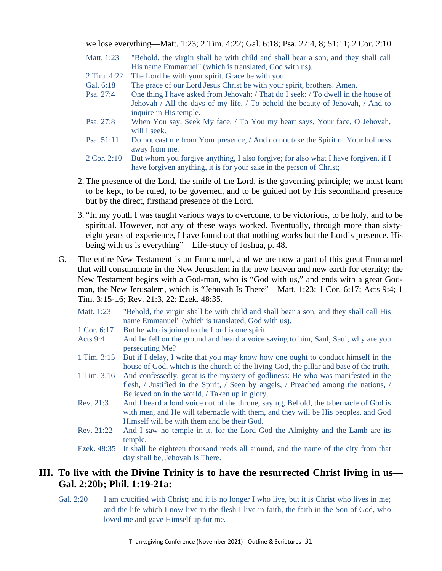we lose everything—Matt. 1:23; 2 Tim. 4:22; Gal. 6:18; Psa. 27:4, 8; 51:11; 2 Cor. 2:10.

- Matt. 1:23 "Behold, the virgin shall be with child and shall bear a son, and they shall call His name Emmanuel" (which is translated, God with us).
- 2 Tim. 4:22 The Lord be with your spirit. Grace be with you.
- Gal. 6:18 The grace of our Lord Jesus Christ be with your spirit, brothers. Amen.
- Psa. 27:4 One thing I have asked from Jehovah; / That do I seek: / To dwell in the house of Jehovah / All the days of my life, / To behold the beauty of Jehovah, / And to inquire in His temple.
- Psa. 27:8 When You say, Seek My face, / To You my heart says, Your face, O Jehovah, will I seek.
- Psa. 51:11 Do not cast me from Your presence, / And do not take the Spirit of Your holiness away from me.
- 2 Cor. 2:10 But whom you forgive anything, I also forgive; for also what I have forgiven, if I have forgiven anything, it is for your sake in the person of Christ;
- 2. The presence of the Lord, the smile of the Lord, is the governing principle; we must learn to be kept, to be ruled, to be governed, and to be guided not by His secondhand presence but by the direct, firsthand presence of the Lord.
- 3. "In my youth I was taught various ways to overcome, to be victorious, to be holy, and to be spiritual. However, not any of these ways worked. Eventually, through more than sixtyeight years of experience, I have found out that nothing works but the Lord's presence. His being with us is everything"—Life-study of Joshua, p. 48.
- G. The entire New Testament is an Emmanuel, and we are now a part of this great Emmanuel that will consummate in the New Jerusalem in the new heaven and new earth for eternity; the New Testament begins with a God-man, who is "God with us," and ends with a great Godman, the New Jerusalem, which is "Jehovah Is There"—Matt. 1:23; 1 Cor. 6:17; Acts 9:4; 1 Tim. 3:15-16; Rev. 21:3, 22; Ezek. 48:35.
	- Matt. 1:23 "Behold, the virgin shall be with child and shall bear a son, and they shall call His name Emmanuel" (which is translated, God with us).
	- 1 Cor. 6:17 But he who is joined to the Lord is one spirit.
	- Acts 9:4 And he fell on the ground and heard a voice saying to him, Saul, Saul, why are you persecuting Me?
	- 1 Tim. 3:15 But if I delay, I write that you may know how one ought to conduct himself in the house of God, which is the church of the living God, the pillar and base of the truth.
	- 1 Tim. 3:16 And confessedly, great is the mystery of godliness: He who was manifested in the flesh, / Justified in the Spirit, / Seen by angels, / Preached among the nations, / Believed on in the world, / Taken up in glory.
	- Rev. 21:3 And I heard a loud voice out of the throne, saying, Behold, the tabernacle of God is with men, and He will tabernacle with them, and they will be His peoples, and God Himself will be with them and be their God.
	- Rev. 21:22 And I saw no temple in it, for the Lord God the Almighty and the Lamb are its temple.
	- Ezek. 48:35 It shall be eighteen thousand reeds all around, and the name of the city from that day shall be, Jehovah Is There.

## **III. To live with the Divine Trinity is to have the resurrected Christ living in us— Gal. 2:20b; Phil. 1:19-21a:**

Gal. 2:20 I am crucified with Christ; and it is no longer I who live, but it is Christ who lives in me; and the life which I now live in the flesh I live in faith, the faith in the Son of God, who loved me and gave Himself up for me.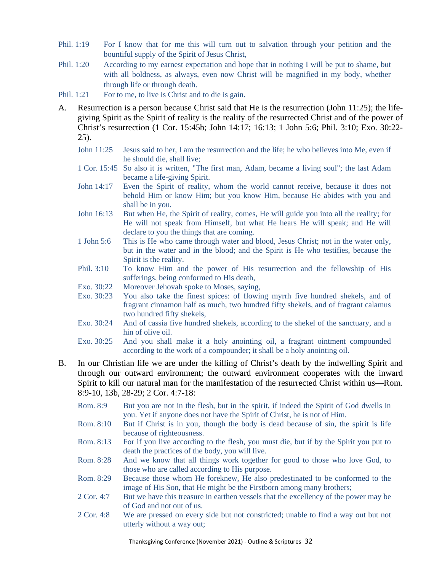- Phil. 1:19 For I know that for me this will turn out to salvation through your petition and the bountiful supply of the Spirit of Jesus Christ,
- Phil. 1:20 According to my earnest expectation and hope that in nothing I will be put to shame, but with all boldness, as always, even now Christ will be magnified in my body, whether through life or through death.
- Phil. 1:21 For to me, to live is Christ and to die is gain.
- A. Resurrection is a person because Christ said that He is the resurrection (John 11:25); the lifegiving Spirit as the Spirit of reality is the reality of the resurrected Christ and of the power of Christ's resurrection (1 Cor. 15:45b; John 14:17; 16:13; 1 John 5:6; Phil. 3:10; Exo. 30:22- 25).
	- John 11:25 Jesus said to her, I am the resurrection and the life; he who believes into Me, even if he should die, shall live;
	- 1 Cor. 15:45 So also it is written, "The first man, Adam, became a living soul"; the last Adam became a life-giving Spirit.
	- John 14:17 Even the Spirit of reality, whom the world cannot receive, because it does not behold Him or know Him; but you know Him, because He abides with you and shall be in you.
	- John 16:13 But when He, the Spirit of reality, comes, He will guide you into all the reality; for He will not speak from Himself, but what He hears He will speak; and He will declare to you the things that are coming.
	- 1 John 5:6 This is He who came through water and blood, Jesus Christ; not in the water only, but in the water and in the blood; and the Spirit is He who testifies, because the Spirit is the reality.
	- Phil. 3:10 To know Him and the power of His resurrection and the fellowship of His sufferings, being conformed to His death,
	- Exo. 30:22 Moreover Jehovah spoke to Moses, saying,
	- Exo. 30:23 You also take the finest spices: of flowing myrrh five hundred shekels, and of fragrant cinnamon half as much, two hundred fifty shekels, and of fragrant calamus two hundred fifty shekels,
	- Exo. 30:24 And of cassia five hundred shekels, according to the shekel of the sanctuary, and a hin of olive oil.
	- Exo. 30:25 And you shall make it a holy anointing oil, a fragrant ointment compounded according to the work of a compounder; it shall be a holy anointing oil.
- B. In our Christian life we are under the killing of Christ's death by the indwelling Spirit and through our outward environment; the outward environment cooperates with the inward Spirit to kill our natural man for the manifestation of the resurrected Christ within us—Rom. 8:9-10, 13b, 28-29; 2 Cor. 4:7-18:
	- Rom. 8:9 But you are not in the flesh, but in the spirit, if indeed the Spirit of God dwells in you. Yet if anyone does not have the Spirit of Christ, he is not of Him.
	- Rom. 8:10 But if Christ is in you, though the body is dead because of sin, the spirit is life because of righteousness.
	- Rom. 8:13 For if you live according to the flesh, you must die, but if by the Spirit you put to death the practices of the body, you will live.
	- Rom. 8:28 And we know that all things work together for good to those who love God, to those who are called according to His purpose.
	- Rom. 8:29 Because those whom He foreknew, He also predestinated to be conformed to the image of His Son, that He might be the Firstborn among many brothers;
	- 2 Cor. 4:7 But we have this treasure in earthen vessels that the excellency of the power may be of God and not out of us.
	- 2 Cor. 4:8 We are pressed on every side but not constricted; unable to find a way out but not utterly without a way out;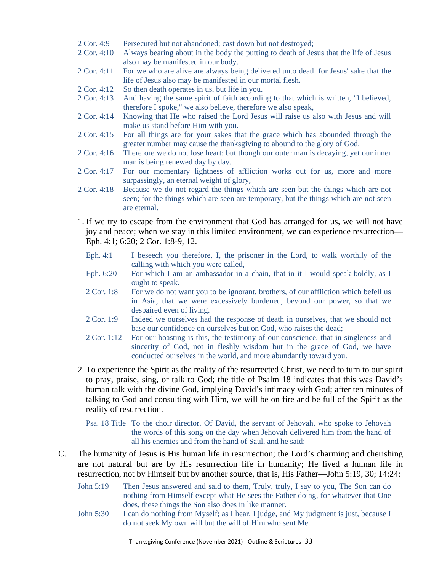- 2 Cor. 4:9 Persecuted but not abandoned; cast down but not destroyed;
- 2 Cor. 4:10 Always bearing about in the body the putting to death of Jesus that the life of Jesus also may be manifested in our body.
- 2 Cor. 4:11 For we who are alive are always being delivered unto death for Jesus' sake that the life of Jesus also may be manifested in our mortal flesh.
- 2 Cor. 4:12 So then death operates in us, but life in you.
- 2 Cor. 4:13 And having the same spirit of faith according to that which is written, "I believed, therefore I spoke," we also believe, therefore we also speak,
- 2 Cor. 4:14 Knowing that He who raised the Lord Jesus will raise us also with Jesus and will make us stand before Him with you.
- 2 Cor. 4:15 For all things are for your sakes that the grace which has abounded through the greater number may cause the thanksgiving to abound to the glory of God.
- 2 Cor. 4:16 Therefore we do not lose heart; but though our outer man is decaying, yet our inner man is being renewed day by day.
- 2 Cor. 4:17 For our momentary lightness of affliction works out for us, more and more surpassingly, an eternal weight of glory,
- 2 Cor. 4:18 Because we do not regard the things which are seen but the things which are not seen; for the things which are seen are temporary, but the things which are not seen are eternal.
- 1. If we try to escape from the environment that God has arranged for us, we will not have joy and peace; when we stay in this limited environment, we can experience resurrection— Eph. 4:1; 6:20; 2 Cor. 1:8-9, 12.
	- Eph. 4:1 I beseech you therefore, I, the prisoner in the Lord, to walk worthily of the calling with which you were called,
	- Eph. 6:20 For which I am an ambassador in a chain, that in it I would speak boldly, as I ought to speak.
	- 2 Cor. 1:8 For we do not want you to be ignorant, brothers, of our affliction which befell us in Asia, that we were excessively burdened, beyond our power, so that we despaired even of living.
	- 2 Cor. 1:9 Indeed we ourselves had the response of death in ourselves, that we should not base our confidence on ourselves but on God, who raises the dead;
	- 2 Cor. 1:12 For our boasting is this, the testimony of our conscience, that in singleness and sincerity of God, not in fleshly wisdom but in the grace of God, we have conducted ourselves in the world, and more abundantly toward you.
- 2. To experience the Spirit as the reality of the resurrected Christ, we need to turn to our spirit to pray, praise, sing, or talk to God; the title of Psalm 18 indicates that this was David's human talk with the divine God, implying David's intimacy with God; after ten minutes of talking to God and consulting with Him, we will be on fire and be full of the Spirit as the reality of resurrection.

Psa. 18 Title To the choir director. Of David, the servant of Jehovah, who spoke to Jehovah the words of this song on the day when Jehovah delivered him from the hand of all his enemies and from the hand of Saul, and he said:

- C. The humanity of Jesus is His human life in resurrection; the Lord's charming and cherishing are not natural but are by His resurrection life in humanity; He lived a human life in resurrection, not by Himself but by another source, that is, His Father—John 5:19, 30; 14:24:
	- John 5:19 Then Jesus answered and said to them, Truly, truly, I say to you, The Son can do nothing from Himself except what He sees the Father doing, for whatever that One does, these things the Son also does in like manner.
	- John 5:30 I can do nothing from Myself; as I hear, I judge, and My judgment is just, because I do not seek My own will but the will of Him who sent Me.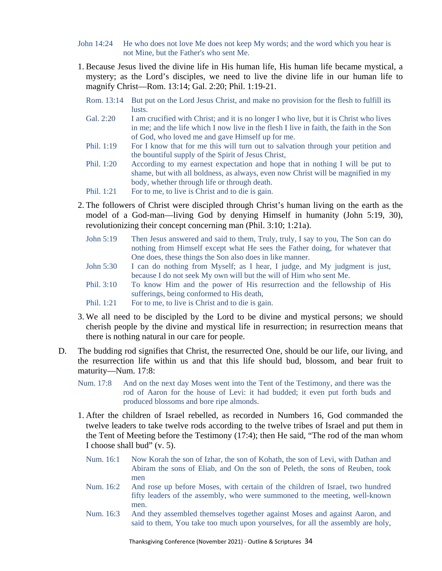- John 14:24 He who does not love Me does not keep My words; and the word which you hear is not Mine, but the Father's who sent Me.
- 1. Because Jesus lived the divine life in His human life, His human life became mystical, a mystery; as the Lord's disciples, we need to live the divine life in our human life to magnify Christ—Rom. 13:14; Gal. 2:20; Phil. 1:19-21.
	- Rom. 13:14 But put on the Lord Jesus Christ, and make no provision for the flesh to fulfill its lusts.
	- Gal. 2:20 I am crucified with Christ; and it is no longer I who live, but it is Christ who lives in me; and the life which I now live in the flesh I live in faith, the faith in the Son of God, who loved me and gave Himself up for me.
	- Phil. 1:19 For I know that for me this will turn out to salvation through your petition and the bountiful supply of the Spirit of Jesus Christ,
	- Phil. 1:20 According to my earnest expectation and hope that in nothing I will be put to shame, but with all boldness, as always, even now Christ will be magnified in my body, whether through life or through death.
	- Phil. 1:21 For to me, to live is Christ and to die is gain.
- 2. The followers of Christ were discipled through Christ's human living on the earth as the model of a God-man—living God by denying Himself in humanity (John 5:19, 30), revolutionizing their concept concerning man (Phil. 3:10; 1:21a).
	- John 5:19 Then Jesus answered and said to them, Truly, truly, I say to you, The Son can do nothing from Himself except what He sees the Father doing, for whatever that One does, these things the Son also does in like manner.
	- John 5:30 I can do nothing from Myself; as I hear, I judge, and My judgment is just, because I do not seek My own will but the will of Him who sent Me.
	- Phil. 3:10 To know Him and the power of His resurrection and the fellowship of His sufferings, being conformed to His death,
	- Phil. 1:21 For to me, to live is Christ and to die is gain.
- 3. We all need to be discipled by the Lord to be divine and mystical persons; we should cherish people by the divine and mystical life in resurrection; in resurrection means that there is nothing natural in our care for people.
- D. The budding rod signifies that Christ, the resurrected One, should be our life, our living, and the resurrection life within us and that this life should bud, blossom, and bear fruit to maturity—Num. 17:8:
	- Num. 17:8 And on the next day Moses went into the Tent of the Testimony, and there was the rod of Aaron for the house of Levi: it had budded; it even put forth buds and produced blossoms and bore ripe almonds.
	- 1. After the children of Israel rebelled, as recorded in Numbers 16, God commanded the twelve leaders to take twelve rods according to the twelve tribes of Israel and put them in the Tent of Meeting before the Testimony (17:4); then He said, "The rod of the man whom I choose shall bud" (v. 5).
		- Num. 16:1 Now Korah the son of Izhar, the son of Kohath, the son of Levi, with Dathan and Abiram the sons of Eliab, and On the son of Peleth, the sons of Reuben, took men
		- Num. 16:2 And rose up before Moses, with certain of the children of Israel, two hundred fifty leaders of the assembly, who were summoned to the meeting, well-known men.
		- Num. 16:3 And they assembled themselves together against Moses and against Aaron, and said to them, You take too much upon yourselves, for all the assembly are holy,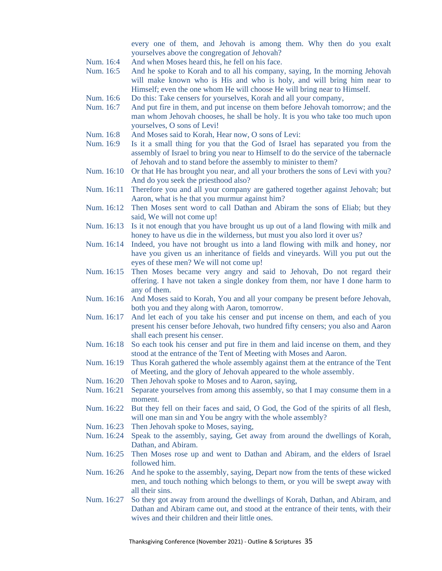every one of them, and Jehovah is among them. Why then do you exalt yourselves above the congregation of Jehovah?

- Num. 16:4 And when Moses heard this, he fell on his face.
- Num. 16:5 And he spoke to Korah and to all his company, saying, In the morning Jehovah will make known who is His and who is holy, and will bring him near to Himself; even the one whom He will choose He will bring near to Himself.
- Num. 16:6 Do this: Take censers for yourselves, Korah and all your company,
- Num. 16:7 And put fire in them, and put incense on them before Jehovah tomorrow; and the man whom Jehovah chooses, he shall be holy. It is you who take too much upon yourselves, O sons of Levi!
- Num. 16:8 And Moses said to Korah, Hear now, O sons of Levi:
- Num. 16:9 Is it a small thing for you that the God of Israel has separated you from the assembly of Israel to bring you near to Himself to do the service of the tabernacle of Jehovah and to stand before the assembly to minister to them?
- Num. 16:10 Or that He has brought you near, and all your brothers the sons of Levi with you? And do you seek the priesthood also?
- Num. 16:11 Therefore you and all your company are gathered together against Jehovah; but Aaron, what is he that you murmur against him?
- Num. 16:12 Then Moses sent word to call Dathan and Abiram the sons of Eliab; but they said, We will not come up!
- Num. 16:13 Is it not enough that you have brought us up out of a land flowing with milk and honey to have us die in the wilderness, but must you also lord it over us?
- Num. 16:14 Indeed, you have not brought us into a land flowing with milk and honey, nor have you given us an inheritance of fields and vineyards. Will you put out the eyes of these men? We will not come up!
- Num. 16:15 Then Moses became very angry and said to Jehovah, Do not regard their offering. I have not taken a single donkey from them, nor have I done harm to any of them.
- Num. 16:16 And Moses said to Korah, You and all your company be present before Jehovah, both you and they along with Aaron, tomorrow.
- Num. 16:17 And let each of you take his censer and put incense on them, and each of you present his censer before Jehovah, two hundred fifty censers; you also and Aaron shall each present his censer.
- Num. 16:18 So each took his censer and put fire in them and laid incense on them, and they stood at the entrance of the Tent of Meeting with Moses and Aaron.
- Num. 16:19 Thus Korah gathered the whole assembly against them at the entrance of the Tent of Meeting, and the glory of Jehovah appeared to the whole assembly.
- Num. 16:20 Then Jehovah spoke to Moses and to Aaron, saying,
- Num. 16:21 Separate yourselves from among this assembly, so that I may consume them in a moment.
- Num. 16:22 But they fell on their faces and said, O God, the God of the spirits of all flesh, will one man sin and You be angry with the whole assembly?
- Num. 16:23 Then Jehovah spoke to Moses, saying,
- Num. 16:24 Speak to the assembly, saying, Get away from around the dwellings of Korah, Dathan, and Abiram.
- Num. 16:25 Then Moses rose up and went to Dathan and Abiram, and the elders of Israel followed him.
- Num. 16:26 And he spoke to the assembly, saying, Depart now from the tents of these wicked men, and touch nothing which belongs to them, or you will be swept away with all their sins.
- Num. 16:27 So they got away from around the dwellings of Korah, Dathan, and Abiram, and Dathan and Abiram came out, and stood at the entrance of their tents, with their wives and their children and their little ones.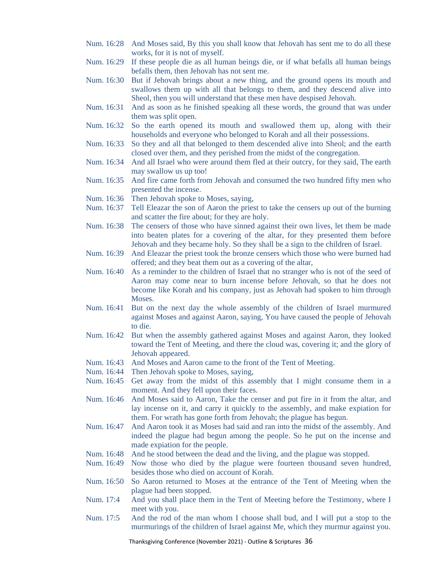- Num. 16:28 And Moses said, By this you shall know that Jehovah has sent me to do all these works, for it is not of myself.
- Num. 16:29 If these people die as all human beings die, or if what befalls all human beings befalls them, then Jehovah has not sent me.
- Num. 16:30 But if Jehovah brings about a new thing, and the ground opens its mouth and swallows them up with all that belongs to them, and they descend alive into Sheol, then you will understand that these men have despised Jehovah.
- Num. 16:31 And as soon as he finished speaking all these words, the ground that was under them was split open.
- Num. 16:32 So the earth opened its mouth and swallowed them up, along with their households and everyone who belonged to Korah and all their possessions.
- Num. 16:33 So they and all that belonged to them descended alive into Sheol; and the earth closed over them, and they perished from the midst of the congregation.
- Num. 16:34 And all Israel who were around them fled at their outcry, for they said, The earth may swallow us up too!
- Num. 16:35 And fire came forth from Jehovah and consumed the two hundred fifty men who presented the incense.
- Num. 16:36 Then Jehovah spoke to Moses, saying,
- Num. 16:37 Tell Eleazar the son of Aaron the priest to take the censers up out of the burning and scatter the fire about; for they are holy.
- Num. 16:38 The censers of those who have sinned against their own lives, let them be made into beaten plates for a covering of the altar, for they presented them before Jehovah and they became holy. So they shall be a sign to the children of Israel.
- Num. 16:39 And Eleazar the priest took the bronze censers which those who were burned had offered; and they beat them out as a covering of the altar,
- Num. 16:40 As a reminder to the children of Israel that no stranger who is not of the seed of Aaron may come near to burn incense before Jehovah, so that he does not become like Korah and his company, just as Jehovah had spoken to him through Moses.
- Num. 16:41 But on the next day the whole assembly of the children of Israel murmured against Moses and against Aaron, saying, You have caused the people of Jehovah to die.
- Num. 16:42 But when the assembly gathered against Moses and against Aaron, they looked toward the Tent of Meeting, and there the cloud was, covering it; and the glory of Jehovah appeared.
- Num. 16:43 And Moses and Aaron came to the front of the Tent of Meeting.
- Num. 16:44 Then Jehovah spoke to Moses, saying,
- Num. 16:45 Get away from the midst of this assembly that I might consume them in a moment. And they fell upon their faces.
- Num. 16:46 And Moses said to Aaron, Take the censer and put fire in it from the altar, and lay incense on it, and carry it quickly to the assembly, and make expiation for them. For wrath has gone forth from Jehovah; the plague has begun.
- Num. 16:47 And Aaron took it as Moses had said and ran into the midst of the assembly. And indeed the plague had begun among the people. So he put on the incense and made expiation for the people.
- Num. 16:48 And he stood between the dead and the living, and the plague was stopped.
- Num. 16:49 Now those who died by the plague were fourteen thousand seven hundred, besides those who died on account of Korah.
- Num. 16:50 So Aaron returned to Moses at the entrance of the Tent of Meeting when the plague had been stopped.
- Num. 17:4 And you shall place them in the Tent of Meeting before the Testimony, where I meet with you.
- Num. 17:5 And the rod of the man whom I choose shall bud, and I will put a stop to the murmurings of the children of Israel against Me, which they murmur against you.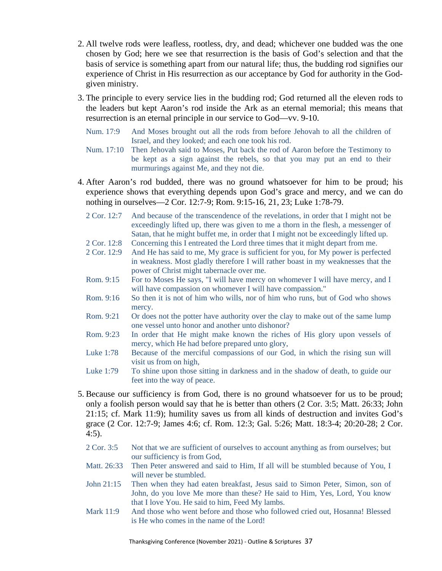- 2. All twelve rods were leafless, rootless, dry, and dead; whichever one budded was the one chosen by God; here we see that resurrection is the basis of God's selection and that the basis of service is something apart from our natural life; thus, the budding rod signifies our experience of Christ in His resurrection as our acceptance by God for authority in the Godgiven ministry.
- 3. The principle to every service lies in the budding rod; God returned all the eleven rods to the leaders but kept Aaron's rod inside the Ark as an eternal memorial; this means that resurrection is an eternal principle in our service to God—vv. 9-10.
	- Num. 17:9 And Moses brought out all the rods from before Jehovah to all the children of Israel, and they looked; and each one took his rod.
	- Num. 17:10 Then Jehovah said to Moses, Put back the rod of Aaron before the Testimony to be kept as a sign against the rebels, so that you may put an end to their murmurings against Me, and they not die.
- 4. After Aaron's rod budded, there was no ground whatsoever for him to be proud; his experience shows that everything depends upon God's grace and mercy, and we can do nothing in ourselves—2 Cor. 12:7-9; Rom. 9:15-16, 21, 23; Luke 1:78-79.
	- 2 Cor. 12:7 And because of the transcendence of the revelations, in order that I might not be exceedingly lifted up, there was given to me a thorn in the flesh, a messenger of Satan, that he might buffet me, in order that I might not be exceedingly lifted up.
	- 2 Cor. 12:8 Concerning this I entreated the Lord three times that it might depart from me.
	- 2 Cor. 12:9 And He has said to me, My grace is sufficient for you, for My power is perfected in weakness. Most gladly therefore I will rather boast in my weaknesses that the power of Christ might tabernacle over me.
	- Rom. 9:15 For to Moses He says, "I will have mercy on whomever I will have mercy, and I will have compassion on whomever I will have compassion."
	- Rom. 9:16 So then it is not of him who wills, nor of him who runs, but of God who shows mercy.
	- Rom. 9:21 Or does not the potter have authority over the clay to make out of the same lump one vessel unto honor and another unto dishonor?
	- Rom. 9:23 In order that He might make known the riches of His glory upon vessels of mercy, which He had before prepared unto glory,
	- Luke 1:78 Because of the merciful compassions of our God, in which the rising sun will visit us from on high,
	- Luke 1:79 To shine upon those sitting in darkness and in the shadow of death, to guide our feet into the way of peace.
- 5. Because our sufficiency is from God, there is no ground whatsoever for us to be proud; only a foolish person would say that he is better than others (2 Cor. 3:5; Matt. 26:33; John 21:15; cf. Mark 11:9); humility saves us from all kinds of destruction and invites God's grace (2 Cor. 12:7-9; James 4:6; cf. Rom. 12:3; Gal. 5:26; Matt. 18:3-4; 20:20-28; 2 Cor. 4:5).
	- 2 Cor. 3:5 Not that we are sufficient of ourselves to account anything as from ourselves; but our sufficiency is from God,
	- Matt. 26:33 Then Peter answered and said to Him, If all will be stumbled because of You, I will never be stumbled.
	- John 21:15 Then when they had eaten breakfast, Jesus said to Simon Peter, Simon, son of John, do you love Me more than these? He said to Him, Yes, Lord, You know that I love You. He said to him, Feed My lambs.
	- Mark 11:9 And those who went before and those who followed cried out, Hosanna! Blessed is He who comes in the name of the Lord!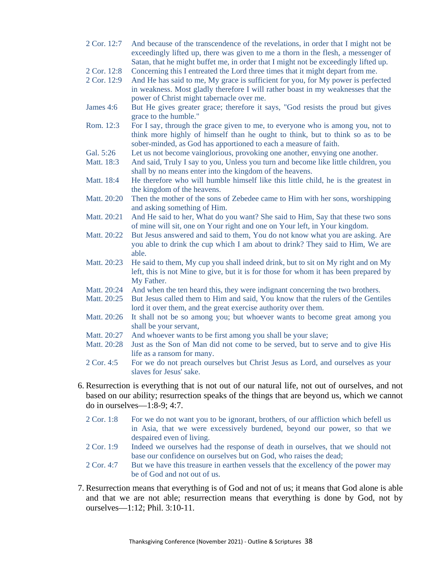- 2 Cor. 12:7 And because of the transcendence of the revelations, in order that I might not be exceedingly lifted up, there was given to me a thorn in the flesh, a messenger of Satan, that he might buffet me, in order that I might not be exceedingly lifted up.
- 2 Cor. 12:8 Concerning this I entreated the Lord three times that it might depart from me.
- 2 Cor. 12:9 And He has said to me, My grace is sufficient for you, for My power is perfected in weakness. Most gladly therefore I will rather boast in my weaknesses that the power of Christ might tabernacle over me.
- James 4:6 But He gives greater grace; therefore it says, "God resists the proud but gives grace to the humble."
- Rom. 12:3 For I say, through the grace given to me, to everyone who is among you, not to think more highly of himself than he ought to think, but to think so as to be sober-minded, as God has apportioned to each a measure of faith.
- Gal. 5:26 Let us not become vainglorious, provoking one another, envying one another.
- Matt. 18:3 And said, Truly I say to you, Unless you turn and become like little children, you shall by no means enter into the kingdom of the heavens.
- Matt. 18:4 He therefore who will humble himself like this little child, he is the greatest in the kingdom of the heavens.
- Matt. 20:20 Then the mother of the sons of Zebedee came to Him with her sons, worshipping and asking something of Him.
- Matt. 20:21 And He said to her, What do you want? She said to Him, Say that these two sons of mine will sit, one on Your right and one on Your left, in Your kingdom.
- Matt. 20:22 But Jesus answered and said to them, You do not know what you are asking. Are you able to drink the cup which I am about to drink? They said to Him, We are able.
- Matt. 20:23 He said to them, My cup you shall indeed drink, but to sit on My right and on My left, this is not Mine to give, but it is for those for whom it has been prepared by My Father.
- Matt. 20:24 And when the ten heard this, they were indignant concerning the two brothers.
- Matt. 20:25 But Jesus called them to Him and said, You know that the rulers of the Gentiles lord it over them, and the great exercise authority over them.
- Matt. 20:26 It shall not be so among you; but whoever wants to become great among you shall be your servant,
- Matt. 20:27 And whoever wants to be first among you shall be your slave;
- Matt. 20:28 Just as the Son of Man did not come to be served, but to serve and to give His life as a ransom for many.
- 2 Cor. 4:5 For we do not preach ourselves but Christ Jesus as Lord, and ourselves as your slaves for Jesus' sake.
- 6. Resurrection is everything that is not out of our natural life, not out of ourselves, and not based on our ability; resurrection speaks of the things that are beyond us, which we cannot do in ourselves—1:8-9; 4:7.
	- 2 Cor. 1:8 For we do not want you to be ignorant, brothers, of our affliction which befell us in Asia, that we were excessively burdened, beyond our power, so that we despaired even of living.
	- 2 Cor. 1:9 Indeed we ourselves had the response of death in ourselves, that we should not base our confidence on ourselves but on God, who raises the dead;
	- 2 Cor. 4:7 But we have this treasure in earthen vessels that the excellency of the power may be of God and not out of us.
- 7. Resurrection means that everything is of God and not of us; it means that God alone is able and that we are not able; resurrection means that everything is done by God, not by ourselves—1:12; Phil. 3:10-11.